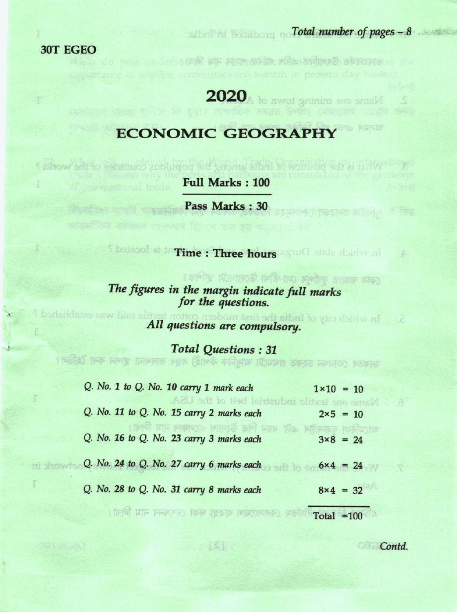30T EGEO

ni drowie

## $\frac{1}{2}$  and  $\frac{1}{2}$  is the set of pages  $-8$  . Total number of pages  $-8$

## Name one mining town of ACO2

senders the in pure with plan compet observe is the

## **ECONOMIC GEOGRAPHY**

**Full Marks: 100** 

Pass Marks : 30

In which state Dury state of **Three hours** and a stated?

What is the position to find a populations countries of the world?

(নেমন বাজ্যত দুৰ্গাপুৰ লো-তীমা উদ্যোগটো স্থাপত? The figures in the margin indicate full marks for the questions.

xtile mill was established? All questions are compulsory.

**Total Questions: 31** 

ভাৰতৰ কোননা চহৰত প্ৰথমটো আধুনিক কঁপাহী বস্তুৰ কাৰশানা স্থাপন কৰা হৈছিল।

| $Q.$ No. 1 to $Q.$ No. 10 carry 1 mark each<br>Name one textile industrial belt of the USA. | $1 \times 10 = 10$ |                   |  |
|---------------------------------------------------------------------------------------------|--------------------|-------------------|--|
| Q. No. 11 to Q. No. 15 carry 2 marks each                                                   |                    | $2 \times 5 = 10$ |  |
| THE FIF PIOTOJE NINE OF<br>Q. No. 16 to Q. No. 23 carry 3 marks each                        |                    | $3 \times 8 = 24$ |  |
| Q. No. 24 to Q. No. 27 carry 6 marks each                                                   |                    | $6x4 = 24$        |  |
| Q. No. 28 to Q. No. 31 carry 8 marks each                                                   |                    | $8x4 = 32$        |  |
|                                                                                             | $Total = 100$      |                   |  |

Contd.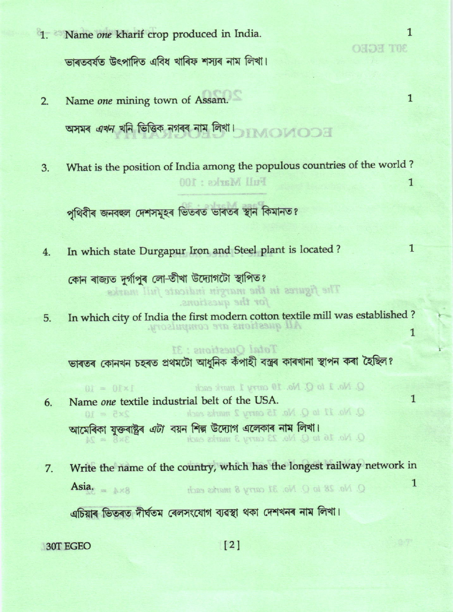- 1. Name one kharif crop produced in India. ভাৰতবৰ্ষত উৎপাদিত এবিধ খাৰিফ শসাৰ নাম লিখা।
	- $\mathbf{1}$ Name one mining town of Assam.  $2.$ অসমৰ এখন খনি ভিত্তিক নগৰৰ নাম লিখা।
	- What is the position of India among the populous countries of the world? 3. Full Marks: 100  $\mathbf{1}$

পৃথিবীৰ জনবহুল দেশসমূহৰ ভিতৰত ভাৰতৰ স্থান কিমানত?

In which state Durgapur Iron and Steel plant is located?  $4.$ 

কোন ৰাজ্যত দুৰ্গাপুৰ লো-তীখা উদ্যোগটো স্থাপিত? The figures in the margin indicate full marks for the questions.

In which city of India the first modern cotton textile mill was established? 5. All questions are compulsory.  $\mathbf{1}$ 

ভাৰতৰ কোনখন চহৰত প্ৰথমটো আধুনিক কঁপাহী বস্ত্ৰৰ কাৰখানা স্থাপন কৰা হৈছিল?

Total Ouestions: 31

- $Q$ . No. 1 to  $Q$ . No. 10 carry 1 mark each  $1 \times 10 = 10$  $\mathbf{1}$ Name one textile industrial belt of the USA. 6. Q. No. 11 to Q. No. 15 carry 2 marks each  $2\times5 = 10$ আমেৰিকা যুক্তৰাষ্ট্ৰৰ *এটা* বয়ন শিল্প উদ্যোগ এলেকাৰ নাম লিখা। O. No. 16 to Q. No. 23 carry 3 marks each  $3\times8$  =  $24$
- Write the name of the country, which has the longest railway network in 7.  $\mathbf{1}$ Asia.  $Q$ . No. 28 to  $Q$ . No. 31 carry 8 marks each

এচিয়াৰ ভিতৰত দীৰ্ঘতম ৰেলসংযোগ ব্যৱস্থা থকা দেশখনৰ নাম লিখা।

30T EGEO

 $\mathbf{1}$ 

 $\mathbf{1}$ 

**GRUE HORO**